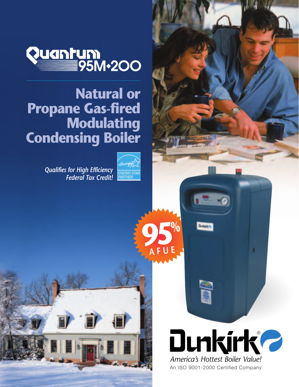

# **Natural or Propane Gas-fired Modulating Condensing Boiler**

*Qualifies for High Efficiency Federal Tax Credit!*



**95%**

**Buringing** 

**SEP** 

**AFUE**



An ISO 9001-2000 Certified Company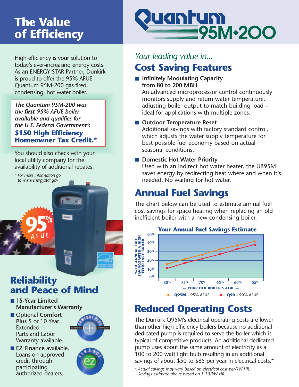# **The Value of Efficiency**

High efficiency is your solution to today's ever-increasing energy costs. As an ENERGY STAR Partner, Dunkirk is proud to offer the 95% AFUE Quantum 95M-200 gas-fired, condensing, hot water boiler.

*The Quantum 95M-200 was the first 95% AFUE boiler available and qualifies for the U.S. Federal Government's* **\$150 High Efficiency Homeowner Tax Credit.***\** 

You should also check with your local utility company for the availability of additional rebates.

*\* For more information go to www.energystar.gov*

**95%**

**AFUE**

# **Reliability and Peace of Mind**

- 15-Year Limited **Manufacturer's Warranty**
- Optional **Comfort Plus** 5 or 10 Year Extended Parts and Labor Warranty available.

■ **EZ Finance** available. Loans on approved credit through participating authorized dealers.



# uantum 95M-200

## **Cost Saving Features** *Your leading value in...*

■ **Infinitely Modulating Capacity from 80 to 200 MBH**

An advanced microprocessor control continuously monitors supply and return water temperature, adjusting boiler output to match building load – ideal for applications with multiple zones.

#### ■ **Outdoor Temperature Reset**

Additional savings with factory standard control, which adjusts the water supply temperature for best possible fuel economy based on actual seasonal conditions.

■ **Domestic Hot Water Priority** 

Used with an indirect hot water heater, the UB95M saves energy by redirecting heat where and when it's needed. No waiting for hot water.

# **Annual Fuel Savings**

The chart below can be used to estimate annual fuel cost savings for space heating when replacing an old inefficient boiler with a new condensing boiler.



# **Reduced Operating Costs**

The Dunkirk Q95M's electrical operating costs are lower than other high efficiency boilers because no additional dedicated pump is required to serve the boiler which is typical of competitive products. An additional dedicated pump uses about the same amount of electricity as a 100 to 200 watt light bulb resulting in an additional savings of about \$50 to \$85 per year in electrical costs.\*

*<sup>\*</sup> Actual savings may vary based on electrical cost per/kW HR. Savings estimate above based on \$.10/kW HR.*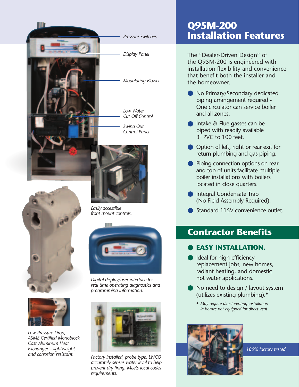





*Low Pressure Drop, ASME Certified Monoblock Cast Aluminum Heat Exchanger – lightweight and corrosion resistant.*



*Easily accessible front mount controls.*

*Digital display/user interface for real time operating diagnostics and programming information.*



*Factory installed, probe type, LWCO accurately senses water level to help prevent dry firing. Meets local codes requirements.*

## **Q95M-200 Installation Features**

The "Dealer-Driven Design" of the Q95M-200 is engineered with installation flexibility and convenience that benefit both the installer and the homeowner.

- No Primary/Secondary dedicated piping arrangement required - One circulator can service boiler and all zones.
- Intake & Flue gasses can be piped with readily available 3" PVC to 100 feet.
- Option of left, right or rear exit for return plumbing and gas piping.
- Piping connection options on rear and top of units facilitate multiple boiler installations with boilers located in close quarters.  $\bullet$
- Integral Condensate Trap (No Field Assembly Required).
- Standard 115V convenience outlet.

### **Contractor Benefits**

#### **EASY INSTALLATION.** ●

- Ideal for high efficiency replacement jobs, new homes, radiant heating, and domestic hot water applications. ●
- No need to design / layout system (utilizes existing plumbing).\*
	- \* *May require direct venting installation in homes not equipped for direct vent*



*100% factory tested*